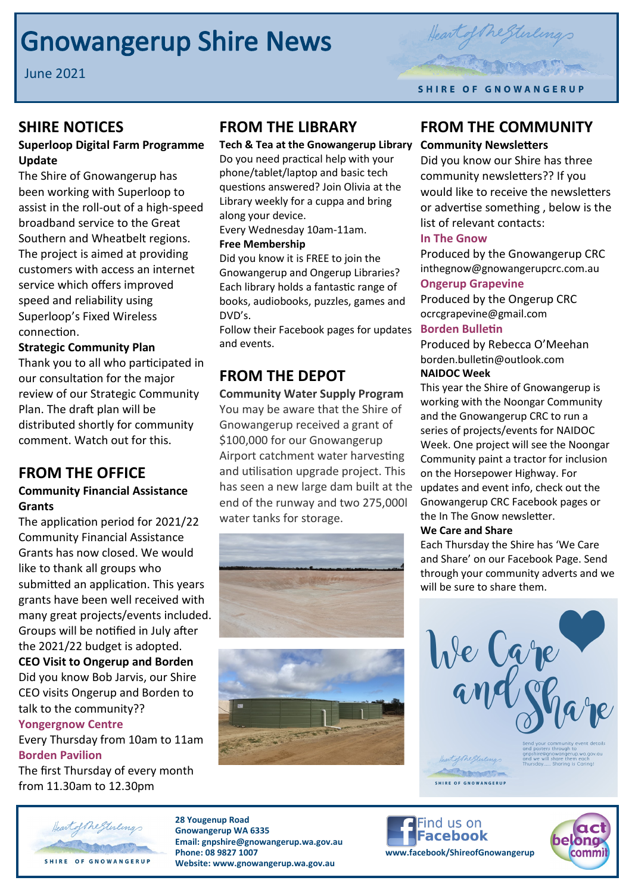# **Gnowangerup Shire News**

June 2021



## **SHIRE NOTICES**

### **Superloop Digital Farm Programme Update**

The Shire of Gnowangerup has been working with Superloop to assist in the roll-out of a high-speed broadband service to the Great Southern and Wheatbelt regions. The project is aimed at providing customers with access an internet service which offers improved speed and reliability using Superloop's Fixed Wireless connection.

### **Strategic Community Plan**

Thank you to all who participated in our consultation for the major review of our Strategic Community Plan. The draft plan will be distributed shortly for community comment. Watch out for this.

## **FROM THE OFFICE**

#### **Community Financial Assistance Grants**

The application period for 2021/22 Community Financial Assistance Grants has now closed. We would like to thank all groups who submitted an application. This years grants have been well received with many great projects/events included. Groups will be notified in July after the 2021/22 budget is adopted. **CEO Visit to Ongerup and Borden**

Did you know Bob Jarvis, our Shire CEO visits Ongerup and Borden to talk to the community??

### **Yongergnow Centre**

Every Thursday from 10am to 11am **Borden Pavilion**

The first Thursday of every month from 11.30am to 12.30pm

## **FROM THE LIBRARY**

**Tech & Tea at the Gnowangerup Library**  Do you need practical help with your phone/tablet/laptop and basic tech questions answered? Join Olivia at the Library weekly for a cuppa and bring along your device.

Every Wednesday 10am-11am. **Free Membership** 

Did you know it is FREE to join the Gnowangerup and Ongerup Libraries? Each library holds a fantastic range of books, audiobooks, puzzles, games and DVD's.

Follow their Facebook pages for updates and events.

## **FROM THE DEPOT**

**Community Water Supply Program**  You may be aware that the Shire of Gnowangerup received a grant of \$100,000 for our Gnowangerup Airport catchment water harvesting and utilisation upgrade project. This has seen a new large dam built at the end of the runway and two 275,000l water tanks for storage.





## **FROM THE COMMUNITY**

#### **Community Newsletters**

Did you know our Shire has three community newsletters?? If you would like to receive the newsletters or advertise something , below is the list of relevant contacts:

#### **In The Gnow**

Produced by the Gnowangerup CRC inthegnow@gnowangerupcrc.com.au **Ongerup Grapevine**

Produced by the Ongerup CRC ocrcgrapevine@gmail.com

### **Borden Bulletin**

Produced by Rebecca O'Meehan borden.bulletin@outlook.com **NAIDOC Week**

This year the Shire of Gnowangerup is working with the Noongar Community and the Gnowangerup CRC to run a series of projects/events for NAIDOC Week. One project will see the Noongar Community paint a tractor for inclusion on the Horsepower Highway. For updates and event info, check out the Gnowangerup CRC Facebook pages or the In The Gnow newsletter.

### **We Care and Share**

Each Thursday the Shire has 'We Care and Share' on our Facebook Page. Send through your community adverts and we will be sure to share them.





**28 Yougenup Road Gnowangerup WA 6335 Email: gnpshire@gnowangerup.wa.gov.au Phone: 08 9827 1007 www.facebook/ShireofGnowangerup Website: www.gnowangerup.wa.gov.au** 



SHIRE OF GNOWANGERUP